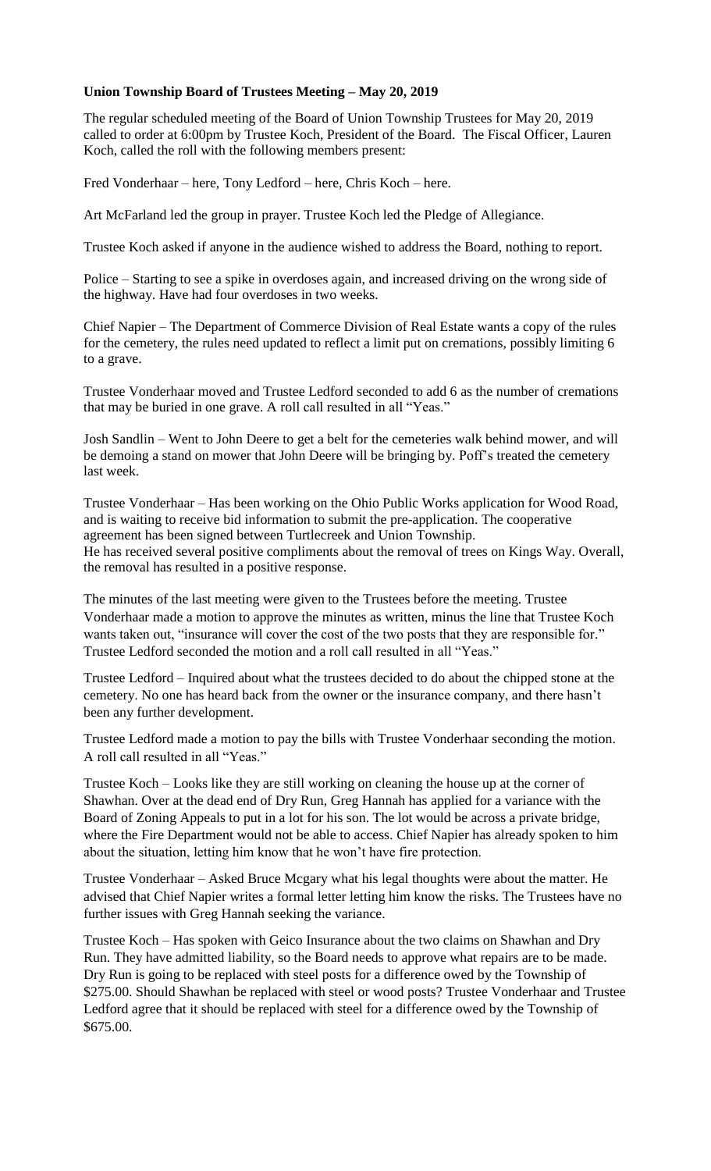## **Union Township Board of Trustees Meeting – May 20, 2019**

The regular scheduled meeting of the Board of Union Township Trustees for May 20, 2019 called to order at 6:00pm by Trustee Koch, President of the Board. The Fiscal Officer, Lauren Koch, called the roll with the following members present:

Fred Vonderhaar – here, Tony Ledford – here, Chris Koch – here.

Art McFarland led the group in prayer. Trustee Koch led the Pledge of Allegiance.

Trustee Koch asked if anyone in the audience wished to address the Board, nothing to report.

Police – Starting to see a spike in overdoses again, and increased driving on the wrong side of the highway. Have had four overdoses in two weeks.

Chief Napier – The Department of Commerce Division of Real Estate wants a copy of the rules for the cemetery, the rules need updated to reflect a limit put on cremations, possibly limiting 6 to a grave.

Trustee Vonderhaar moved and Trustee Ledford seconded to add 6 as the number of cremations that may be buried in one grave. A roll call resulted in all "Yeas."

Josh Sandlin – Went to John Deere to get a belt for the cemeteries walk behind mower, and will be demoing a stand on mower that John Deere will be bringing by. Poff's treated the cemetery last week.

Trustee Vonderhaar – Has been working on the Ohio Public Works application for Wood Road, and is waiting to receive bid information to submit the pre-application. The cooperative agreement has been signed between Turtlecreek and Union Township. He has received several positive compliments about the removal of trees on Kings Way. Overall, the removal has resulted in a positive response.

The minutes of the last meeting were given to the Trustees before the meeting. Trustee Vonderhaar made a motion to approve the minutes as written, minus the line that Trustee Koch wants taken out, "insurance will cover the cost of the two posts that they are responsible for." Trustee Ledford seconded the motion and a roll call resulted in all "Yeas."

Trustee Ledford – Inquired about what the trustees decided to do about the chipped stone at the cemetery. No one has heard back from the owner or the insurance company, and there hasn't been any further development.

Trustee Ledford made a motion to pay the bills with Trustee Vonderhaar seconding the motion. A roll call resulted in all "Yeas."

Trustee Koch – Looks like they are still working on cleaning the house up at the corner of Shawhan. Over at the dead end of Dry Run, Greg Hannah has applied for a variance with the Board of Zoning Appeals to put in a lot for his son. The lot would be across a private bridge, where the Fire Department would not be able to access. Chief Napier has already spoken to him about the situation, letting him know that he won't have fire protection.

Trustee Vonderhaar – Asked Bruce Mcgary what his legal thoughts were about the matter. He advised that Chief Napier writes a formal letter letting him know the risks. The Trustees have no further issues with Greg Hannah seeking the variance.

Trustee Koch – Has spoken with Geico Insurance about the two claims on Shawhan and Dry Run. They have admitted liability, so the Board needs to approve what repairs are to be made. Dry Run is going to be replaced with steel posts for a difference owed by the Township of \$275.00. Should Shawhan be replaced with steel or wood posts? Trustee Vonderhaar and Trustee Ledford agree that it should be replaced with steel for a difference owed by the Township of \$675.00.